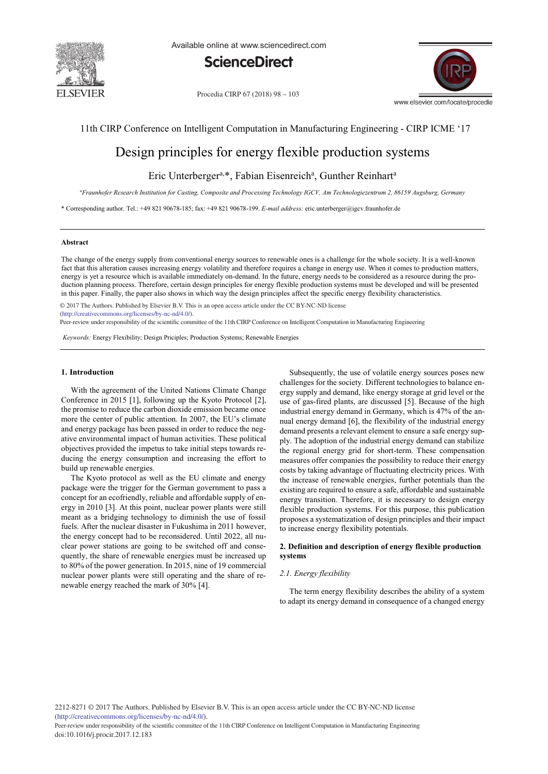

Available online at www.sciencedirect.com



Procedia CIRP 67 (2018) 98 - 103



11th CIRP Conference on Intelligent Computation in Manufacturing Engineering - CIRP ICME '17

# Design principles for energy flexible production systems

## Eric Unterberger<sup>a,\*</sup>, Fabian Eisenreich<sup>a</sup>, Gunther Reinhart<sup>a</sup>

*a Fraunhofer Research Institution for Casting, Composite and Processing Technology IGCV, Am Technologiezentrum 2, 86159 Augsburg, Germany*

\* Corresponding author. Tel.: +49 821 90678-185; fax: +49 821 90678-199. *E-mail address:* eric.unterberger@igcv.fraunhofer.de

#### **Abstract**

The change of the energy supply from conventional energy sources to renewable ones is a challenge for the whole society. It is a well-known fact that this alteration causes increasing energy volatility and therefore requires a change in energy use. When it comes to production matters, energy is yet a resource which is available immediately on-demand. In the future, energy needs to be considered as a resource during the production planning process. Therefore, certain design principles for energy flexible production systems must be developed and will be presented in this paper. Finally, the paper also shows in which way the design principles affect the specific energy flexibility characteristics.

© 2017 The Authors. Published by Elsevier B.V. © 2017 The Authors. Published by Elsevier B.V. This is an open access article under the CC BY-NC-ND license (http://creativecommons.org/licenses/by-nc-nd/4.0/).

Peer-review under responsibility of the scientific committee of the 11th CIRP Conference on Intelligent Computation in Manufacturing Engineering

*Keywords:* Energy Flexibility; Design Priciples; Production Systems; Renewable Energies

### **1. Introduction**

With the agreement of the United Nations Climate Change Conference in 2015 [1], following up the Kyoto Protocol [2], the promise to reduce the carbon dioxide emission became once more the center of public attention. In 2007, the EU's climate and energy package has been passed in order to reduce the negative environmental impact of human activities. These political objectives provided the impetus to take initial steps towards reducing the energy consumption and increasing the effort to build up renewable energies.

The Kyoto protocol as well as the EU climate and energy package were the trigger for the German government to pass a concept for an ecofriendly, reliable and affordable supply of energy in 2010 [3]. At this point, nuclear power plants were still meant as a bridging technology to diminish the use of fossil fuels. After the nuclear disaster in Fukushima in 2011 however, the energy concept had to be reconsidered. Until 2022, all nuclear power stations are going to be switched off and consequently, the share of renewable energies must be increased up to 80% of the power generation. In 2015, nine of 19 commercial nuclear power plants were still operating and the share of renewable energy reached the mark of 30% [4].

Subsequently, the use of volatile energy sources poses new challenges for the society. Different technologies to balance energy supply and demand, like energy storage at grid level or the use of gas-fired plants, are discussed [5]. Because of the high industrial energy demand in Germany, which is 47% of the annual energy demand [6], the flexibility of the industrial energy demand presents a relevant element to ensure a safe energy supply. The adoption of the industrial energy demand can stabilize the regional energy grid for short-term. These compensation measures offer companies the possibility to reduce their energy costs by taking advantage of fluctuating electricity prices. With the increase of renewable energies, further potentials than the existing are required to ensure a safe, affordable and sustainable energy transition. Therefore, it is necessary to design energy flexible production systems. For this purpose, this publication proposes a systematization of design principles and their impact to increase energy flexibility potentials.

## **2. Definition and description of energy flexible production systems**

#### *2.1. Energy flexibility*

The term energy flexibility describes the ability of a system to adapt its energy demand in consequence of a changed energy

2212-8271 © 2017 The Authors. Published by Elsevier B.V. This is an open access article under the CC BY-NC-ND license (http://creativecommons.org/licenses/by-nc-nd/4.0/).

Peer-review under responsibility of the scientific committee of the 11th CIRP Conference on Intelligent Computation in Manufacturing Engineering doi: 10.1016/j.procir.2017.12.183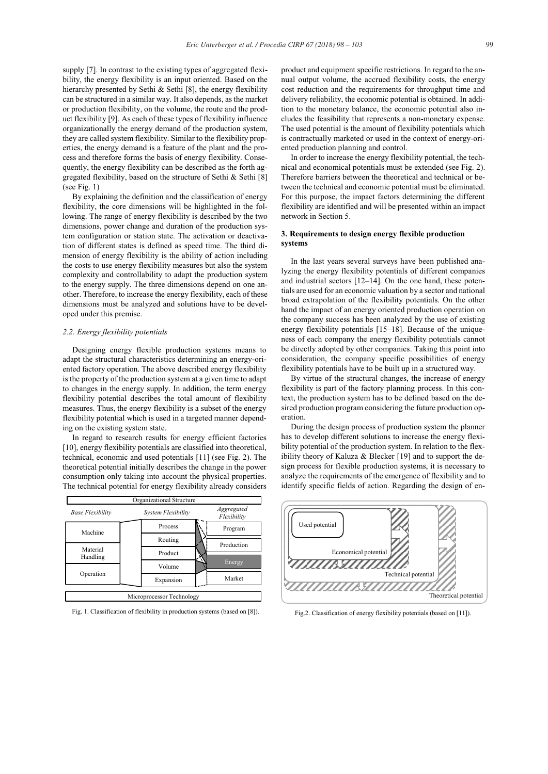supply [7]. In contrast to the existing types of aggregated flexibility, the energy flexibility is an input oriented. Based on the hierarchy presented by Sethi & Sethi [8], the energy flexibility can be structured in a similar way. It also depends, as the market or production flexibility, on the volume, the route and the product flexibility [9]. As each of these types of flexibility influence organizationally the energy demand of the production system, they are called system flexibility. Similar to the flexibility properties, the energy demand is a feature of the plant and the process and therefore forms the basis of energy flexibility. Consequently, the energy flexibility can be described as the forth aggregated flexibility, based on the structure of Sethi & Sethi [8] (see Fig.  $1)$ )

By explaining the definition and the classification of energy flexibility, the core dimensions will be highlighted in the following. The range of energy flexibility is described by the two dimensions, power change and duration of the production system configuration or station state. The activation or deactivation of different states is defined as speed time. The third dimension of energy flexibility is the ability of action including the costs to use energy flexibility measures but also the system complexity and controllability to adapt the production system to the energy supply. The three dimensions depend on one another. Therefore, to increase the energy flexibility, each of these dimensions must be analyzed and solutions have to be developed under this premise.

#### *2.2. Energy flexibility potentials*

Designing energy flexible production systems means to adapt the structural characteristics determining an energy-oriented factory operation. The above described energy flexibility is the property of the production system at a given time to adapt to changes in the energy supply. In addition, the term energy flexibility potential describes the total amount of flexibility measures. Thus, the energy flexibility is a subset of the energy flexibility potential which is used in a targeted manner depending on the existing system state.

In regard to research results for energy efficient factories [10], energy flexibility potentials are classified into theoretical, technical, economic and used potentials [11] (see Fig. 2). The theoretical potential initially describes the change in the power consumption only taking into account the physical properties. The technical potential for energy flexibility already considers

| Organizational Structure  |                    |                           |
|---------------------------|--------------------|---------------------------|
| Base Flexibility          | System Flexibility | Aggregated<br>Flexibility |
| Machine                   | Process            | Program                   |
|                           | Routing            | Production                |
| Material<br>Handling      | Product            |                           |
|                           | Volume             | Energy                    |
| Operation                 | Expansion          | Market                    |
| Microprocessor Technology |                    |                           |

Fig. 1. Classification of flexibility in production systems (based on [8]).

product and equipment specific restrictions. In regard to the annual output volume, the accrued flexibility costs, the energy cost reduction and the requirements for throughput time and delivery reliability, the economic potential is obtained. In addition to the monetary balance, the economic potential also includes the feasibility that represents a non-monetary expense. The used potential is the amount of flexibility potentials which is contractually marketed or used in the context of energy-oriented production planning and control.

In order to increase the energy flexibility potential, the technical and economical potentials must be extended (see Fig. 2). Therefore barriers between the theoretical and technical or between the technical and economic potential must be eliminated. For this purpose, the impact factors determining the different flexibility are identified and will be presented within an impact network in Section 5.

#### **3. Requirements to design energy flexible production systems**

In the last years several surveys have been published analyzing the energy flexibility potentials of different companies and industrial sectors [12–14]. On the one hand, these potentials are used for an economic valuation by a sector and national broad extrapolation of the flexibility potentials. On the other hand the impact of an energy oriented production operation on the company success has been analyzed by the use of existing energy flexibility potentials [15–18]. Because of the uniqueness of each company the energy flexibility potentials cannot be directly adopted by other companies. Taking this point into consideration, the company specific possibilities of energy flexibility potentials have to be built up in a structured way.

By virtue of the structural changes, the increase of energy flexibility is part of the factory planning process. In this context, the production system has to be defined based on the desired production program considering the future production operation.

During the design process of production system the planner has to develop different solutions to increase the energy flexibility potential of the production system. In relation to the flexibility theory of Kaluza & Blecker [19] and to support the design process for flexible production systems, it is necessary to analyze the requirements of the emergence of flexibility and to identify specific fields of action. Regarding the design of en-



Fig.2. Classification of energy flexibility potentials (based on [11]).